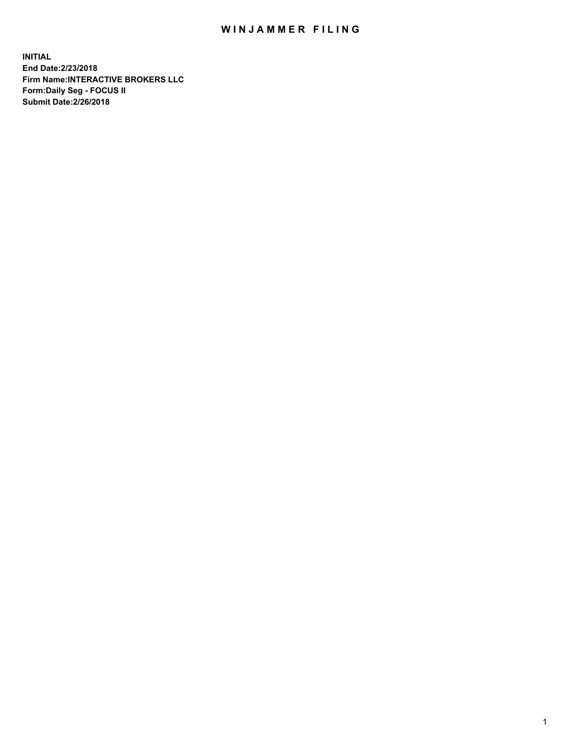## WIN JAMMER FILING

**INITIAL End Date:2/23/2018 Firm Name:INTERACTIVE BROKERS LLC Form:Daily Seg - FOCUS II Submit Date:2/26/2018**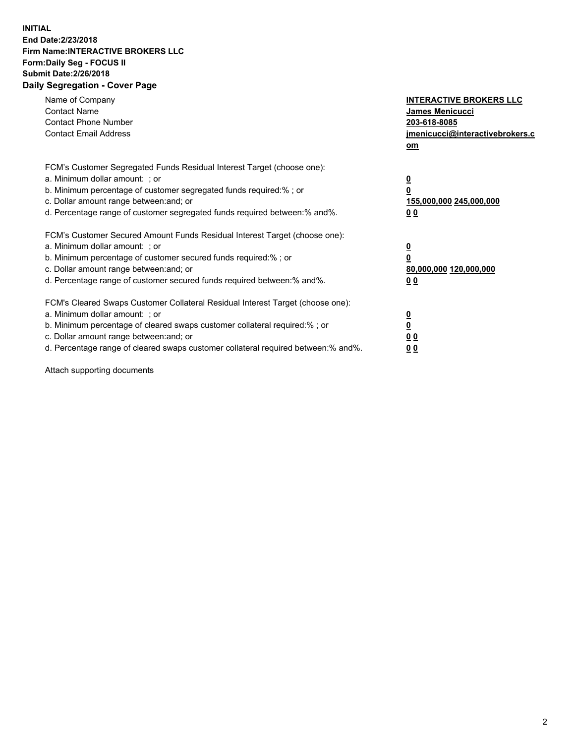## **INITIAL End Date:2/23/2018 Firm Name:INTERACTIVE BROKERS LLC Form:Daily Seg - FOCUS II Submit Date:2/26/2018 Daily Segregation - Cover Page**

| Name of Company<br><b>Contact Name</b><br><b>Contact Phone Number</b><br><b>Contact Email Address</b>                                                                                                                                                                                                                          | <b>INTERACTIVE BROKERS LLC</b><br>James Menicucci<br>203-618-8085<br>jmenicucci@interactivebrokers.c<br>om |
|--------------------------------------------------------------------------------------------------------------------------------------------------------------------------------------------------------------------------------------------------------------------------------------------------------------------------------|------------------------------------------------------------------------------------------------------------|
| FCM's Customer Segregated Funds Residual Interest Target (choose one):<br>a. Minimum dollar amount: ; or<br>b. Minimum percentage of customer segregated funds required:%; or<br>c. Dollar amount range between: and; or<br>d. Percentage range of customer segregated funds required between:% and%.                          | $\overline{\mathbf{0}}$<br>0<br>155,000,000 245,000,000<br>0 <sub>0</sub>                                  |
| FCM's Customer Secured Amount Funds Residual Interest Target (choose one):<br>a. Minimum dollar amount: ; or<br>b. Minimum percentage of customer secured funds required:%; or<br>c. Dollar amount range between: and; or<br>d. Percentage range of customer secured funds required between:% and%.                            | $\overline{\mathbf{0}}$<br>$\overline{\mathbf{0}}$<br>80,000,000 120,000,000<br>00                         |
| FCM's Cleared Swaps Customer Collateral Residual Interest Target (choose one):<br>a. Minimum dollar amount: ; or<br>b. Minimum percentage of cleared swaps customer collateral required:% ; or<br>c. Dollar amount range between: and; or<br>d. Percentage range of cleared swaps customer collateral required between:% and%. | $\overline{\mathbf{0}}$<br>$\overline{\mathbf{0}}$<br>0 <sub>0</sub><br><u>00</u>                          |

Attach supporting documents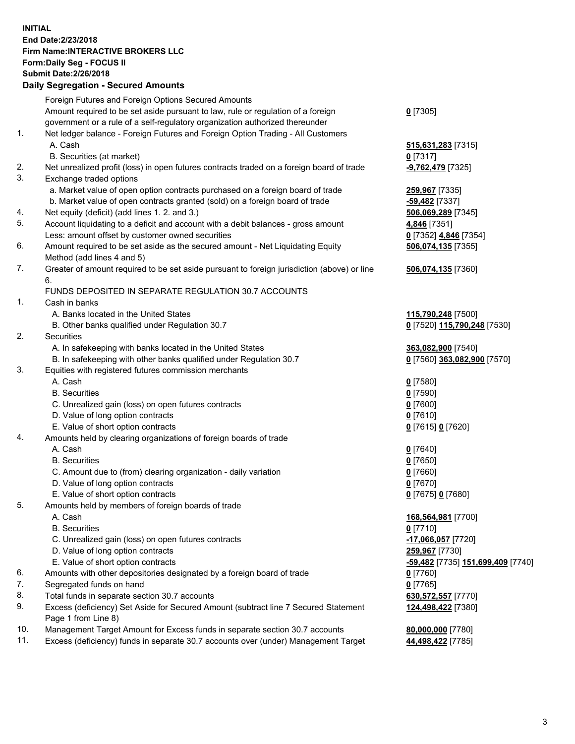## **INITIAL End Date:2/23/2018 Firm Name:INTERACTIVE BROKERS LLC Form:Daily Seg - FOCUS II Submit Date:2/26/2018 Daily Segregation - Secured Amounts**

|     | Daily Jegregation - Jeculed Aniounts                                                        |                                   |
|-----|---------------------------------------------------------------------------------------------|-----------------------------------|
|     | Foreign Futures and Foreign Options Secured Amounts                                         |                                   |
|     | Amount required to be set aside pursuant to law, rule or regulation of a foreign            | $0$ [7305]                        |
|     | government or a rule of a self-regulatory organization authorized thereunder                |                                   |
| 1.  | Net ledger balance - Foreign Futures and Foreign Option Trading - All Customers             |                                   |
|     | A. Cash                                                                                     | 515,631,283 [7315]                |
|     | B. Securities (at market)                                                                   | $0$ [7317]                        |
| 2.  | Net unrealized profit (loss) in open futures contracts traded on a foreign board of trade   | -9,762,479 [7325]                 |
| 3.  | Exchange traded options                                                                     |                                   |
|     | a. Market value of open option contracts purchased on a foreign board of trade              | 259,967 [7335]                    |
|     | b. Market value of open contracts granted (sold) on a foreign board of trade                | $-59,482$ [7337]                  |
| 4.  | Net equity (deficit) (add lines 1.2. and 3.)                                                | 506,069,289 [7345]                |
| 5.  | Account liquidating to a deficit and account with a debit balances - gross amount           | 4,846 [7351]                      |
|     | Less: amount offset by customer owned securities                                            | 0 [7352] 4,846 [7354]             |
| 6.  | Amount required to be set aside as the secured amount - Net Liquidating Equity              | 506,074,135 [7355]                |
|     | Method (add lines 4 and 5)                                                                  |                                   |
| 7.  | Greater of amount required to be set aside pursuant to foreign jurisdiction (above) or line | 506,074,135 [7360]                |
|     | 6.                                                                                          |                                   |
|     | FUNDS DEPOSITED IN SEPARATE REGULATION 30.7 ACCOUNTS                                        |                                   |
| 1.  | Cash in banks                                                                               |                                   |
|     | A. Banks located in the United States                                                       | 115,790,248 [7500]                |
|     | B. Other banks qualified under Regulation 30.7                                              | 0 [7520] 115,790,248 [7530]       |
| 2.  | Securities                                                                                  |                                   |
|     | A. In safekeeping with banks located in the United States                                   | 363,082,900 [7540]                |
|     | B. In safekeeping with other banks qualified under Regulation 30.7                          | 0 [7560] 363,082,900 [7570]       |
| 3.  | Equities with registered futures commission merchants                                       |                                   |
|     | A. Cash                                                                                     | $0$ [7580]                        |
|     | <b>B.</b> Securities                                                                        | $Q$ [7590]                        |
|     | C. Unrealized gain (loss) on open futures contracts                                         | $0$ [7600]                        |
|     | D. Value of long option contracts                                                           | $0$ [7610]                        |
|     | E. Value of short option contracts                                                          | 0 [7615] 0 [7620]                 |
| 4.  | Amounts held by clearing organizations of foreign boards of trade                           |                                   |
|     | A. Cash                                                                                     | $0$ [7640]                        |
|     | <b>B.</b> Securities                                                                        | $0$ [7650]                        |
|     | C. Amount due to (from) clearing organization - daily variation                             | $0$ [7660]                        |
|     | D. Value of long option contracts                                                           | $0$ [7670]                        |
|     | E. Value of short option contracts                                                          | 0 [7675] 0 [7680]                 |
| 5.  | Amounts held by members of foreign boards of trade                                          |                                   |
|     | A. Cash                                                                                     | 168,564,981 [7700]                |
|     | <b>B.</b> Securities                                                                        | $0$ [7710]                        |
|     | C. Unrealized gain (loss) on open futures contracts                                         | -17,066,057 [7720]                |
|     | D. Value of long option contracts                                                           | 259,967 [7730]                    |
|     | E. Value of short option contracts                                                          |                                   |
|     |                                                                                             | -59,482 [7735] 151,699,409 [7740] |
| 6.  | Amounts with other depositories designated by a foreign board of trade                      | $0$ [7760]                        |
| 7.  | Segregated funds on hand                                                                    | $0$ [7765]                        |
| 8.  | Total funds in separate section 30.7 accounts                                               | 630,572,557 [7770]                |
| 9.  | Excess (deficiency) Set Aside for Secured Amount (subtract line 7 Secured Statement         | 124,498,422 [7380]                |
|     | Page 1 from Line 8)                                                                         |                                   |
| 10. | Management Target Amount for Excess funds in separate section 30.7 accounts                 | 80,000,000 [7780]                 |
| 11. | Excess (deficiency) funds in separate 30.7 accounts over (under) Management Target          | 44,498,422 [7785]                 |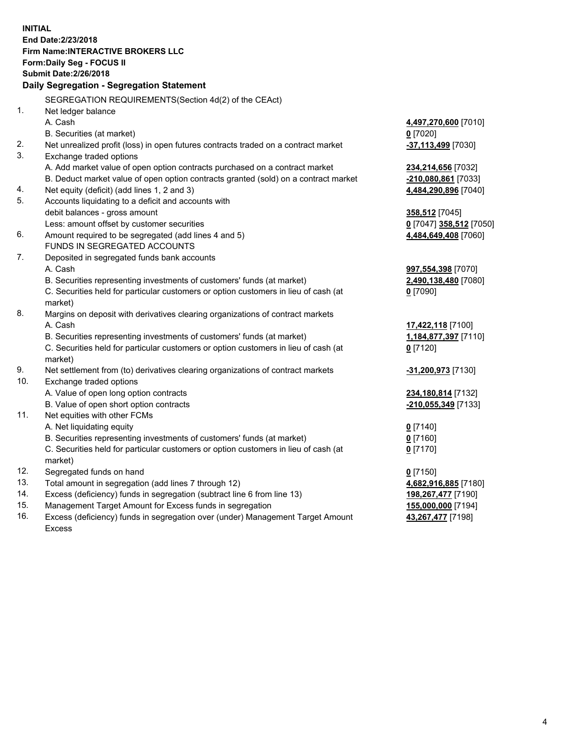**INITIAL End Date:2/23/2018 Firm Name:INTERACTIVE BROKERS LLC Form:Daily Seg - FOCUS II Submit Date:2/26/2018 Daily Segregation - Segregation Statement** SEGREGATION REQUIREMENTS(Section 4d(2) of the CEAct) 1. Net ledger balance A. Cash **4,497,270,600** [7010] B. Securities (at market) **0** [7020] 2. Net unrealized profit (loss) in open futures contracts traded on a contract market **-37,113,499** [7030] 3. Exchange traded options A. Add market value of open option contracts purchased on a contract market **234,214,656** [7032] B. Deduct market value of open option contracts granted (sold) on a contract market **-210,080,861** [7033] 4. Net equity (deficit) (add lines 1, 2 and 3) **4,484,290,896** [7040] 5. Accounts liquidating to a deficit and accounts with debit balances - gross amount **358,512** [7045] Less: amount offset by customer securities **0** [7047] **358,512** [7050] 6. Amount required to be segregated (add lines 4 and 5) **4,484,649,408** [7060] FUNDS IN SEGREGATED ACCOUNTS 7. Deposited in segregated funds bank accounts A. Cash **997,554,398** [7070] B. Securities representing investments of customers' funds (at market) **2,490,138,480** [7080] C. Securities held for particular customers or option customers in lieu of cash (at market) **0** [7090] 8. Margins on deposit with derivatives clearing organizations of contract markets A. Cash **17,422,118** [7100] B. Securities representing investments of customers' funds (at market) **1,184,877,397** [7110] C. Securities held for particular customers or option customers in lieu of cash (at market) **0** [7120] 9. Net settlement from (to) derivatives clearing organizations of contract markets **-31,200,973** [7130] 10. Exchange traded options A. Value of open long option contracts **234,180,814** [7132] B. Value of open short option contracts **-210,055,349** [7133] 11. Net equities with other FCMs A. Net liquidating equity **0** [7140] B. Securities representing investments of customers' funds (at market) **0** [7160] C. Securities held for particular customers or option customers in lieu of cash (at market) **0** [7170] 12. Segregated funds on hand **0** [7150] 13. Total amount in segregation (add lines 7 through 12) **4,682,916,885** [7180] 14. Excess (deficiency) funds in segregation (subtract line 6 from line 13) **198,267,477** [7190] 15. Management Target Amount for Excess funds in segregation **155,000,000** [7194] **43,267,477** [7198]

16. Excess (deficiency) funds in segregation over (under) Management Target Amount Excess